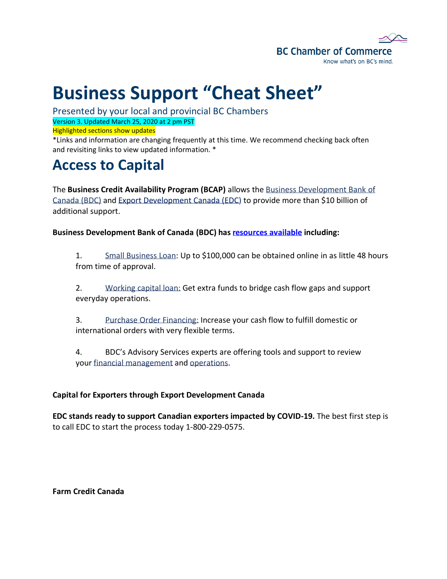

# **Business Support "Cheat Sheet"**

Presented by your local and provincial BC Chambers Version 3. Updated March 25, 2020 at 2 pm PST Highlighted sections show updates

\*Links and information are changing frequently at this time. We recommend checking back often and revisiting links to view updated information. \*

### **Access to Capital**

The **Business Credit Availability Program (BCAP)** allows the [Business Development Bank of](https://www.bdc.ca/en/pages/home.aspx)  [Canada \(BDC\)](https://www.bdc.ca/en/pages/home.aspx) and [Export Development Canada](https://www.edc.ca/) (EDC) to provide more than \$10 billion of additional support.

**Business Development Bank of Canada (BDC) has [resources available](https://www.bdc.ca/en/pages/special-support.aspx?special-initiative=covid19) including:**

1. [Small Business Loan:](https://www.bdc.ca/en/financing/business-loans/pages/small-business-loan.aspx) Up to \$100,000 can be obtained online in as little 48 hours from time of approval.

2. [Working capital loan:](https://www.bdc.ca/en/financing/business-loans/working-capital-financing/pages/working-capital-loan.aspx) Get extra funds to bridge cash flow gaps and support everyday operations.

3. [Purchase Order Financing:](https://www.bdc.ca/en/financing/business-loans/pages/purchase-order-financing.aspx) Increase your cash flow to fulfill domestic or international orders with very flexible terms.

4. BDC's Advisory Services experts are offering tools and support to review your [financial management](https://www.bdc.ca/en/consulting/pages/financial-planning.aspx) and [operations.](https://www.bdc.ca/en/consulting/pages/operational-efficiency.aspx)

#### **Capital for Exporters through Export Development Canada**

**EDC stands ready to support Canadian exporters impacted by COVID-19.** The best first step is to call EDC to start the process today 1-800-229-0575.

**Farm Credit Canada**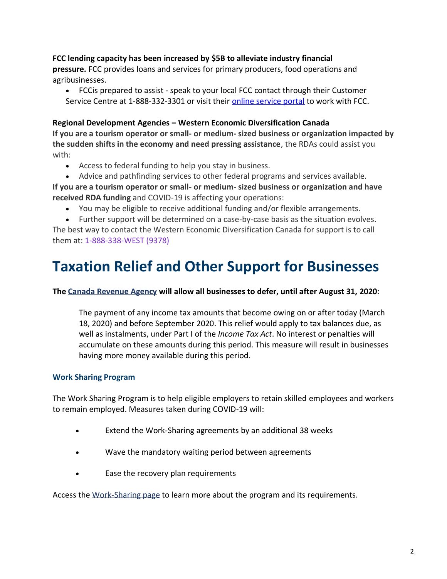#### **FCC lending capacity has been increased by \$5B to alleviate industry financial**

**pressure.** FCC provides loans and services for primary producers, food operations and agribusinesses.

• FCCis prepared to assist - speak to your local FCC contact through their Customer Service Centre at 1-888-332-3301 or visit their [online service portal](https://www.fcc-fac.ca/en/financing/online-services.html) to work with FCC.

#### **Regional Development Agencies – Western Economic Diversification Canada**

**If you are a tourism operator or small- or medium- sized business or organization impacted by the sudden shifts in the economy and need pressing assistance**, the RDAs could assist you with:

- Access to federal funding to help you stay in business.
- Advice and pathfinding services to other federal programs and services available.

**If you are a tourism operator or small- or medium- sized business or organization and have received RDA funding** and COVID-19 is affecting your operations:

- You may be eligible to receive additional funding and/or flexible arrangements.
- Further support will be determined on a case-by-case basis as the situation evolves.

The best way to contact the Western Economic Diversification Canada for support is to call them at: [1-888-338-WEST \(9378\)](tel:+18883389378)

### **Taxation Relief and Other Support for Businesses**

#### **The [Canada Revenue Agency](https://www.canada.ca/en/revenue-agency.html) will allow all businesses to defer, until after August 31, 2020**:

The payment of any income tax amounts that become owing on or after today (March 18, 2020) and before September 2020. This relief would apply to tax balances due, as well as instalments, under Part I of the *Income Tax Act*. No interest or penalties will accumulate on these amounts during this period. This measure will result in businesses having more money available during this period.

#### **Work Sharing Program**

The Work Sharing Program is to help eligible employers to retain skilled employees and workers to remain employed. Measures taken during COVID-19 will:

- Extend the Work-Sharing agreements by an additional 38 weeks
- Wave the mandatory waiting period between agreements
- Ease the recovery plan requirements

Access the [Work-Sharing page](https://www.canada.ca/en/employment-social-development/services/work-sharing.html) to learn more about the program and its requirements.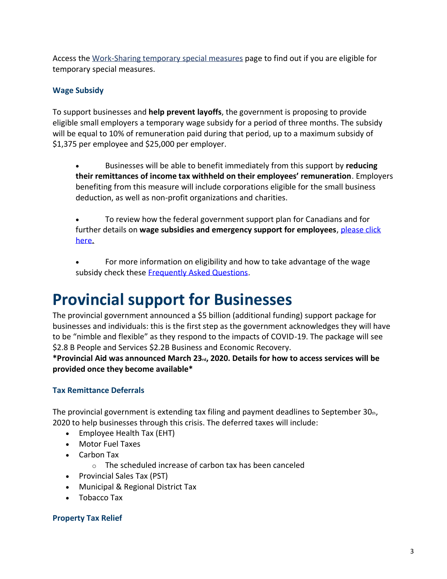Access the [Work-Sharing temporary special measures](https://www.canada.ca/en/employment-social-development/services/work-sharing/temporary-measures-forestry-sector.html) page to find out if you are eligible for temporary special measures.

#### **Wage Subsidy**

To support businesses and **help prevent layoffs**, the government is proposing to provide eligible small employers a temporary wage subsidy for a period of three months. The subsidy will be equal to 10% of remuneration paid during that period, up to a maximum subsidy of \$1,375 per employee and \$25,000 per employer.

- Businesses will be able to benefit immediately from this support by **reducing their remittances of income tax withheld on their employees' remuneration**. Employers benefiting from this measure will include corporations eligible for the small business deduction, as well as non-profit organizations and charities.
- To review how the federal government support plan for Canadians and for further details on **wage subsidies and emergency support for employees**, [please](https://www.canada.ca/en/department-finance/economic-response-plan.html#individual) click [here.](https://www.canada.ca/en/department-finance/economic-response-plan.html#individual)
- For more information on eligibility and how to take advantage of the wage subsidy check these [Frequently Asked Questions.](https://www.canada.ca/en/revenue-agency/campaigns/covid-19-update/frequently-asked-questions-wage-subsidy-small-businesses.html)

### **Provincial support for Businesses**

The provincial government announced a \$5 billion (additional funding) support package for businesses and individuals: this is the first step as the government acknowledges they will have to be "nimble and flexible" as they respond to the impacts of COVID-19. The package will see \$2.8 B People and Services \$2.2B Business and Economic Recovery.

**\*Provincial Aid was announced March 23rd, 2020. Details for how to access services will be provided once they become available\***

#### **Tax Remittance Deferrals**

The provincial government is extending tax filing and payment deadlines to September 30th, 2020 to help businesses through this crisis. The deferred taxes will include:

- Employee Health Tax (EHT)
- Motor Fuel Taxes
- Carbon Tax
	- o The scheduled increase of carbon tax has been canceled
- Provincial Sales Tax (PST)
- Municipal & Regional District Tax
- Tobacco Tax

#### **Property Tax Relief**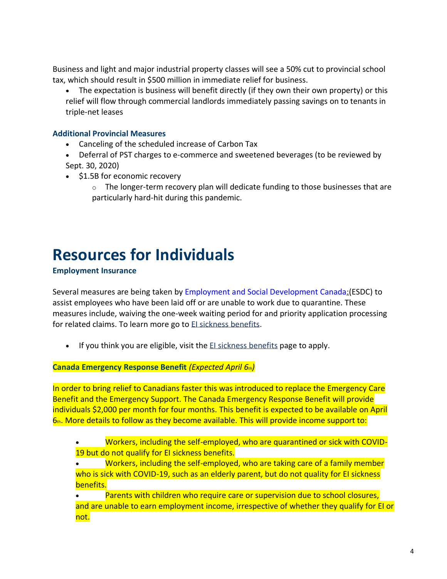Business and light and major industrial property classes will see a 50% cut to provincial school tax, which should result in \$500 million in immediate relief for business.

• The expectation is business will benefit directly (if they own their own property) or this relief will flow through commercial landlords immediately passing savings on to tenants in triple-net leases

#### **Additional Provincial Measures**

- Canceling of the scheduled increase of Carbon Tax
- Deferral of PST charges to e-commerce and sweetened beverages (to be reviewed by Sept. 30, 2020)
- \$1.5B for economic recovery
	- $\circ$  The longer-term recovery plan will dedicate funding to those businesses that are particularly hard-hit during this pandemic.

## **Resources for Individuals**

#### **Employment Insurance**

Several measures are being taken by [Employment and Social Development Canada:\(](https://www.canada.ca/en/employment-social-development/corporate/notices/coronavirus.html)ESDC) to assist employees who have been laid off or are unable to work due to quarantine. These measures include, waiving the one-week waiting period for and priority application processing for related claims. To learn more go to [EI sickness benefits.](https://www.canada.ca/en/services/benefits/ei/ei-sickness.html)

• If you think you are eligible, visit the [EI sickness benefits](https://www.canada.ca/en/services/benefits/ei/ei-sickness.html) page to apply.

**Canada Emergency Response Benefit** *(Expected April 6th)*

In order to bring relief to Canadians faster this was introduced to replace the Emergency Care Benefit and the Emergency Support. The Canada Emergency Response Benefit will provide individuals \$2,000 per month for four months. This benefit is expected to be available on April  $6<sub>th</sub>$ . More details to follow as they become available. This will provide income support to:

- Workers, including the self-employed, who are quarantined or sick with COVID-19 but do not qualify for EI sickness benefits.
- Workers, including the self-employed, who are taking care of a family member who is sick with COVID-19, such as an elderly parent, but do not quality for EI sickness benefits.

Parents with children who require care or supervision due to school closures, and are unable to earn employment income, irrespective of whether they qualify for EI or not.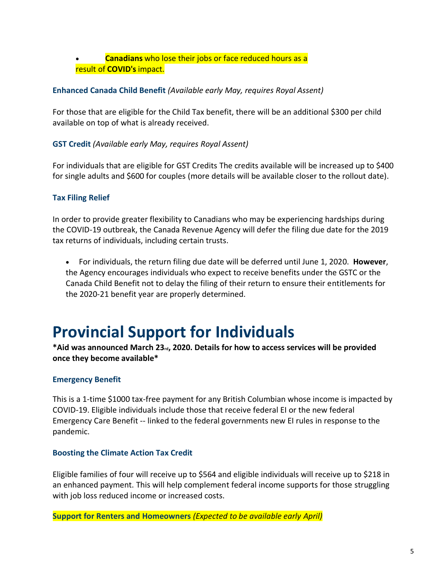#### • **Canadians** who lose their jobs or face reduced hours as a result of **COVID's** impact.

#### **Enhanced Canada Child Benefit** *(Available early May, requires Royal Assent)*

For those that are eligible for the Child Tax benefit, there will be an additional \$300 per child available on top of what is already received.

#### **GST Credit** *(Available early May, requires Royal Assent)*

For individuals that are eligible for GST Credits The credits available will be increased up to \$400 for single adults and \$600 for couples (more details will be available closer to the rollout date).

#### **Tax Filing Relief**

In order to provide greater flexibility to Canadians who may be experiencing hardships during the COVID-19 outbreak, the Canada Revenue Agency will defer the filing due date for the 2019 tax returns of individuals, including certain trusts.

• For individuals, the return filing due date will be deferred until June 1, 2020. **However**, the Agency encourages individuals who expect to receive benefits under the GSTC or the Canada Child Benefit not to delay the filing of their return to ensure their entitlements for the 2020-21 benefit year are properly determined.

### **Provincial Support for Individuals**

#### **\*Aid was announced March 23rd, 2020. Details for how to access services will be provided once they become available\***

#### **Emergency Benefit**

This is a 1-time \$1000 tax-free payment for any British Columbian whose income is impacted by COVID-19. Eligible individuals include those that receive federal EI or the new federal Emergency Care Benefit -- linked to the federal governments new EI rules in response to the pandemic.

#### **Boosting the Climate Action Tax Credit**

Eligible families of four will receive up to \$564 and eligible individuals will receive up to \$218 in an enhanced payment. This will help complement federal income supports for those struggling with job loss reduced income or increased costs.

**Support for Renters and Homeowners** *(Expected to be available early April)*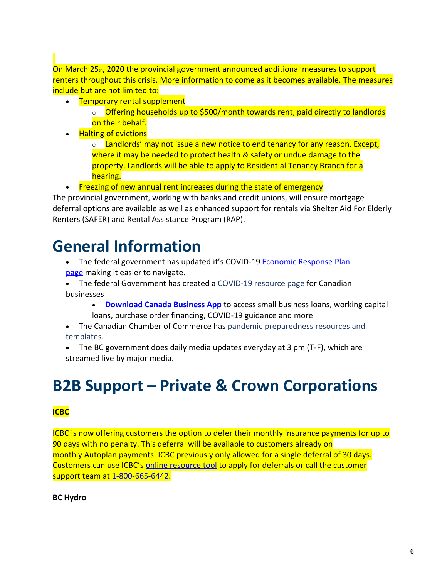On March 25th, 2020 the provincial government announced additional measures to support renters throughout this crisis. More information to come as it becomes available. The measures include but are not limited to:

• Temporary rental supplement

o **Offering households up to \$500/month towards rent, paid directly to landlords** on their behalf.

• Halting of evictions

 $\circ$  Landlords' may not issue a new notice to end tenancy for any reason. Except, where it may be needed to protect health & safety or undue damage to the property. Landlords will be able to apply to Residential Tenancy Branch for a hearing.

• Freezing of new annual rent increases during the state of emergency

The provincial government, working with banks and credit unions, will ensure mortgage deferral options are available as well as enhanced support for rentals via Shelter Aid For Elderly Renters (SAFER) and Rental Assistance Program (RAP).

## **General Information**

- The federal government has updated it's COVID-19 Economic Response Plan [page](https://www.canada.ca/en/department-finance/economic-response-plan.html) making it easier to navigate.
- The federal Government has created a [COVID-19 resource page](https://www.tradecommissioner.gc.ca/campaign-campagne/ressources-entreprises-COVID-19-business-resources.aspx?lang=eng) for Canadian businesses
	- **[Download Canada Business App](https://www.ic.gc.ca/eic/site/icgc.nsf/eng/h_07670.html)** to access small business loans, working capital loans, purchase order financing, COVID-19 guidance and more
- The Canadian Chamber of Commerce has pandemic preparedness resources and [templates.](http://www.chamber.ca/resources/pandemic-preparedness/)
- The BC government does daily media updates everyday at 3 pm (T-F), which are streamed live by major media.

## **B2B Support – Private & Crown Corporations**

#### **ICBC**

ICBC is now offering customers the option to defer their monthly insurance payments for up to 90 days with no penalty. This deferral will be available to customers already on monthly Autoplan payments. ICBC previously only allowed for a single deferral of 30 days. Customers can use ICBC's [online resource tool](https://onlinebusiness.icbc.com/eforms/dotcom/jsp/ACG398.jsp) to apply for deferrals or call the customer support team at [1-800-665-6442.](tel:18006656442)

#### **BC Hydro**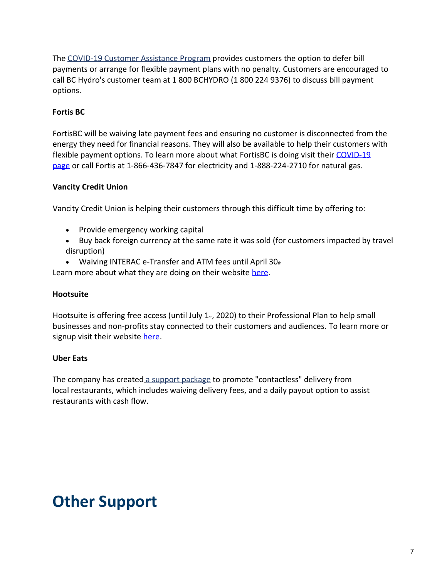The [COVID-19 Customer Assistance Program](https://www.bchydro.com/news/conservation/2020/covid-19-updates.html) provides customers the option to defer bill payments or arrange for flexible payment plans with no penalty. Customers are encouraged to call BC Hydro's customer team at 1 800 BCHYDRO (1 800 224 9376) to discuss bill payment options.

#### **Fortis BC**

FortisBC will be waiving late payment fees and ensuring no customer is disconnected from the energy they need for financial reasons. They will also be available to help their customers with flexible payment options. To learn more about what FortisBC is doing visit their [COVID-19](https://www.fortisbc.com/about-us/supporting-british-columbia-during-the-covid-19-outbreak)  [page](https://www.fortisbc.com/about-us/supporting-british-columbia-during-the-covid-19-outbreak) or call Fortis at 1-866-436-7847 for electricity and 1-888-224-2710 for natural gas.

#### **Vancity Credit Union**

Vancity Credit Union is helping their customers through this difficult time by offering to:

- Provide emergency working capital
- Buy back foreign currency at the same rate it was sold (for customers impacted by travel disruption)
- Waiving INTERAC e-Transfer and ATM fees until April  $30<sub>th</sub>$

Learn more about what they are doing on their website [here.](https://www.vancity.com/AboutVancity/News/MediaReleases/VancityDeferPayments_Mar18_2020/)

#### **Hootsuite**

Hootsuite is offering free access (until July  $1<sub>st</sub>$ , 2020) to their Professional Plan to help small businesses and non-profits stay connected to their customers and audiences. To learn more or signup visit their website [here.](https://hootsuite.com/pages/stay-connected)

#### **Uber Eats**

The company has created [a support package](https://www.businesswire.com/news/home/20200316005228/en/Uber-Eats-Announces-Efforts-Support-U.S.-Canada) to promote "contactless" delivery from local restaurants, which includes waiving delivery fees, and a daily payout option to assist restaurants with cash flow.

### **Other Support**